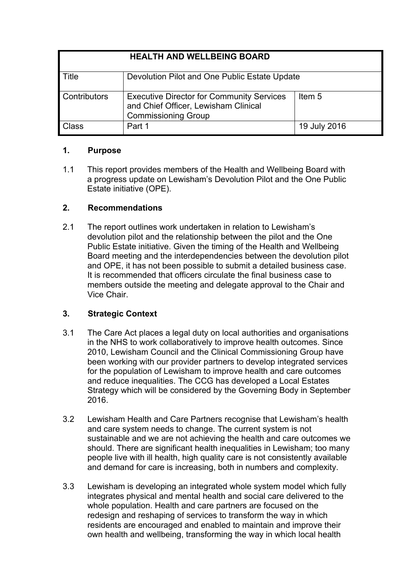| <b>HEALTH AND WELLBEING BOARD</b> |                                                                                                                        |              |
|-----------------------------------|------------------------------------------------------------------------------------------------------------------------|--------------|
| $\blacksquare$ Title              | Devolution Pilot and One Public Estate Update                                                                          |              |
| <b>Contributors</b>               | <b>Executive Director for Community Services</b><br>and Chief Officer, Lewisham Clinical<br><b>Commissioning Group</b> | Item 5       |
| <b>Class</b>                      | Part 1                                                                                                                 | 19 July 2016 |

## **1. Purpose**

1.1 This report provides members of the Health and Wellbeing Board with a progress update on Lewisham's Devolution Pilot and the One Public Estate initiative (OPE).

# **2. Recommendations**

2.1 The report outlines work undertaken in relation to Lewisham's devolution pilot and the relationship between the pilot and the One Public Estate initiative. Given the timing of the Health and Wellbeing Board meeting and the interdependencies between the devolution pilot and OPE, it has not been possible to submit a detailed business case. It is recommended that officers circulate the final business case to members outside the meeting and delegate approval to the Chair and Vice Chair.

# **3. Strategic Context**

- 3.1 The Care Act places a legal duty on local authorities and organisations in the NHS to work collaboratively to improve health outcomes. Since 2010, Lewisham Council and the Clinical Commissioning Group have been working with our provider partners to develop integrated services for the population of Lewisham to improve health and care outcomes and reduce inequalities. The CCG has developed a Local Estates Strategy which will be considered by the Governing Body in September 2016.
- 3.2 Lewisham Health and Care Partners recognise that Lewisham's health and care system needs to change. The current system is not sustainable and we are not achieving the health and care outcomes we should. There are significant health inequalities in Lewisham; too many people live with ill health, high quality care is not consistently available and demand for care is increasing, both in numbers and complexity.
- 3.3 Lewisham is developing an integrated whole system model which fully integrates physical and mental health and social care delivered to the whole population. Health and care partners are focused on the redesign and reshaping of services to transform the way in which residents are encouraged and enabled to maintain and improve their own health and wellbeing, transforming the way in which local health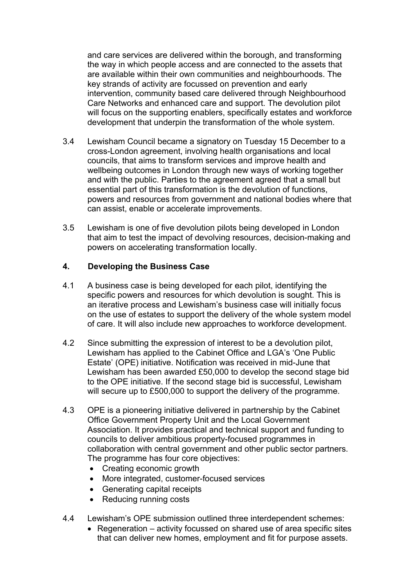and care services are delivered within the borough, and transforming the way in which people access and are connected to the assets that are available within their own communities and neighbourhoods. The key strands of activity are focussed on prevention and early intervention, community based care delivered through Neighbourhood Care Networks and enhanced care and support. The devolution pilot will focus on the supporting enablers, specifically estates and workforce development that underpin the transformation of the whole system.

- 3.4 Lewisham Council became a signatory on Tuesday 15 December to a cross-London agreement, involving health organisations and local councils, that aims to transform services and improve health and wellbeing outcomes in London through new ways of working together and with the public. Parties to the agreement agreed that a small but essential part of this transformation is the devolution of functions, powers and resources from government and national bodies where that can assist, enable or accelerate improvements.
- 3.5 Lewisham is one of five devolution pilots being developed in London that aim to test the impact of devolving resources, decision-making and powers on accelerating transformation locally.

### **4. Developing the Business Case**

- 4.1 A business case is being developed for each pilot, identifying the specific powers and resources for which devolution is sought. This is an iterative process and Lewisham's business case will initially focus on the use of estates to support the delivery of the whole system model of care. It will also include new approaches to workforce development.
- 4.2 Since submitting the expression of interest to be a devolution pilot, Lewisham has applied to the Cabinet Office and LGA's 'One Public Estate' (OPE) initiative. Notification was received in mid-June that Lewisham has been awarded £50,000 to develop the second stage bid to the OPE initiative. If the second stage bid is successful, Lewisham will secure up to £500,000 to support the delivery of the programme.
- 4.3 OPE is a pioneering initiative delivered in partnership by the Cabinet Office Government Property Unit and the Local Government Association. It provides practical and technical support and funding to councils to deliver ambitious property-focused programmes in collaboration with central government and other public sector partners. The programme has four core objectives:
	- Creating economic growth
	- More integrated, customer-focused services
	- Generating capital receipts
	- Reducing running costs
- 4.4 Lewisham's OPE submission outlined three interdependent schemes:
	- Regeneration activity focussed on shared use of area specific sites that can deliver new homes, employment and fit for purpose assets.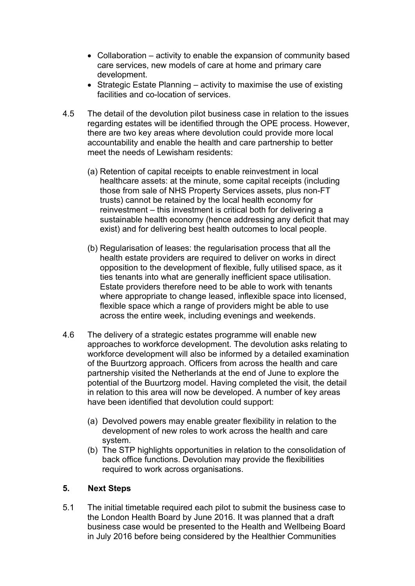- Collaboration activity to enable the expansion of community based care services, new models of care at home and primary care development.
- Strategic Estate Planning activity to maximise the use of existing facilities and co-location of services.
- 4.5 The detail of the devolution pilot business case in relation to the issues regarding estates will be identified through the OPE process. However, there are two key areas where devolution could provide more local accountability and enable the health and care partnership to better meet the needs of Lewisham residents:
	- (a) Retention of capital receipts to enable reinvestment in local healthcare assets: at the minute, some capital receipts (including those from sale of NHS Property Services assets, plus non-FT trusts) cannot be retained by the local health economy for reinvestment – this investment is critical both for delivering a sustainable health economy (hence addressing any deficit that may exist) and for delivering best health outcomes to local people.
	- (b) Regularisation of leases: the regularisation process that all the health estate providers are required to deliver on works in direct opposition to the development of flexible, fully utilised space, as it ties tenants into what are generally inefficient space utilisation. Estate providers therefore need to be able to work with tenants where appropriate to change leased, inflexible space into licensed, flexible space which a range of providers might be able to use across the entire week, including evenings and weekends.
- 4.6 The delivery of a strategic estates programme will enable new approaches to workforce development. The devolution asks relating to workforce development will also be informed by a detailed examination of the Buurtzorg approach. Officers from across the health and care partnership visited the Netherlands at the end of June to explore the potential of the Buurtzorg model. Having completed the visit, the detail in relation to this area will now be developed. A number of key areas have been identified that devolution could support:
	- (a) Devolved powers may enable greater flexibility in relation to the development of new roles to work across the health and care system.
	- (b) The STP highlights opportunities in relation to the consolidation of back office functions. Devolution may provide the flexibilities required to work across organisations.

### **5. Next Steps**

5.1 The initial timetable required each pilot to submit the business case to the London Health Board by June 2016. It was planned that a draft business case would be presented to the Health and Wellbeing Board in July 2016 before being considered by the Healthier Communities